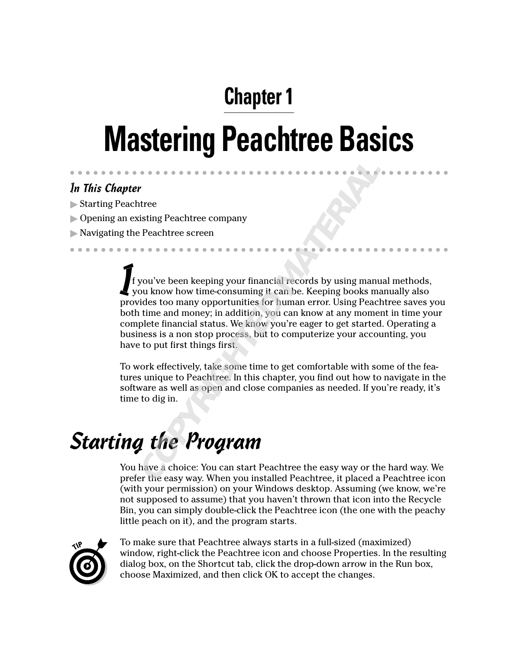## **Chapter 1**

# **Mastering Peachtree Basics**

#### In This Chapter

- Starting Peachtree
- Opening an existing Peachtree company
- Navigating the Peachtree screen

If you've been keeping your financial records by using manual methods,<br>you know how time-consuming it can be. Keeping books manually also<br>provides too many opportunities for human error Using Peachtree says y provides too many opportunities for human error. Using Peachtree saves you both time and money; in addition, you can know at any moment in time your complete financial status. We know you're eager to get started. Operating a business is a non stop process, but to computerize your accounting, you have to put first things first. *COPYRIGHTED MATERIAL*

To work effectively, take some time to get comfortable with some of the features unique to Peachtree. In this chapter, you find out how to navigate in the software as well as open and close companies as needed. If you're ready, it's time to dig in.

## Starting the Program

You have a choice: You can start Peachtree the easy way or the hard way. We prefer the easy way. When you installed Peachtree, it placed a Peachtree icon (with your permission) on your Windows desktop. Assuming (we know, we're not supposed to assume) that you haven't thrown that icon into the Recycle Bin, you can simply double-click the Peachtree icon (the one with the peachy little peach on it), and the program starts.



To make sure that Peachtree always starts in a full-sized (maximized) window, right-click the Peachtree icon and choose Properties. In the resulting dialog box, on the Shortcut tab, click the drop-down arrow in the Run box, choose Maximized, and then click OK to accept the changes.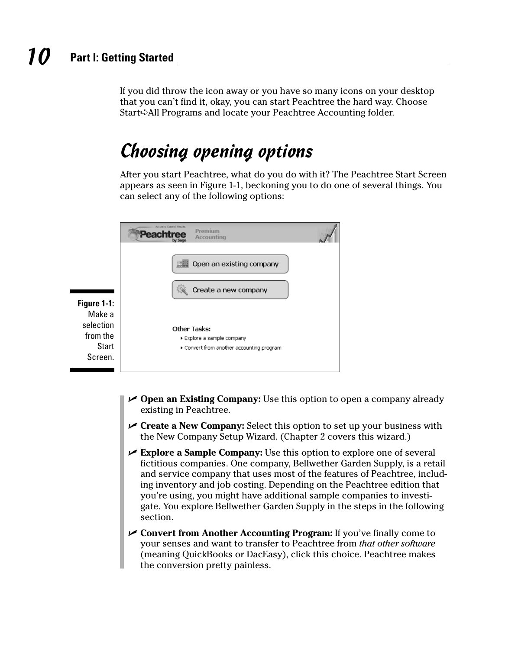If you did throw the icon away or you have so many icons on your desktop that you can't find it, okay, you can start Peachtree the hard way. Choose Start<sup> $\div$ </sup>All Programs and locate your Peachtree Accounting folder.

## Choosing opening options

After you start Peachtree, what do you do with it? The Peachtree Start Screen appears as seen in Figure 1-1, beckoning you to do one of several things. You can select any of the following options:

|                                                     | Accuracy: Control. Results.<br>Premium<br>Accounting                                  |  |
|-----------------------------------------------------|---------------------------------------------------------------------------------------|--|
|                                                     | 農園<br>Open an existing company                                                        |  |
| <b>Figure 1-1:</b>                                  | Create a new company                                                                  |  |
| Make a<br>selection<br>from the<br>Start<br>Screen. | Other Tasks:<br>Explore a sample company<br>▶ Convert from another accounting program |  |

- **► Open an Existing Company:** Use this option to open a company already existing in Peachtree.
- **Create a New Company:** Select this option to set up your business with the New Company Setup Wizard. (Chapter 2 covers this wizard.)
- **Explore a Sample Company:** Use this option to explore one of several fictitious companies. One company, Bellwether Garden Supply, is a retail and service company that uses most of the features of Peachtree, including inventory and job costing. Depending on the Peachtree edition that you're using, you might have additional sample companies to investigate. You explore Bellwether Garden Supply in the steps in the following section.
- **Convert from Another Accounting Program:** If you've finally come to your senses and want to transfer to Peachtree from *that other software* (meaning QuickBooks or DacEasy), click this choice. Peachtree makes the conversion pretty painless.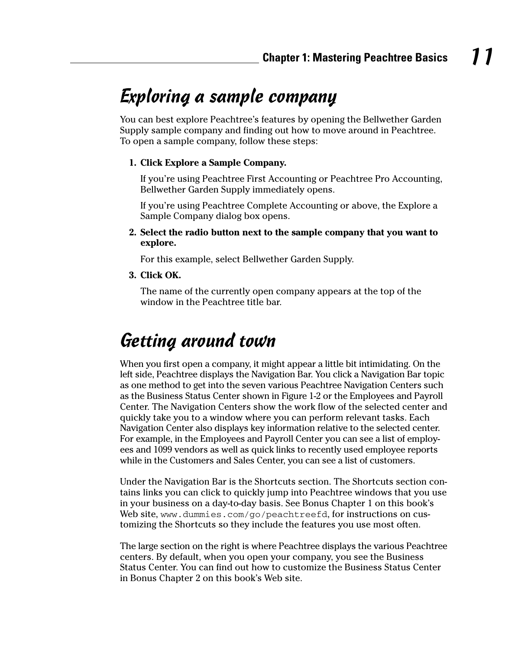## Exploring a sample company

You can best explore Peachtree's features by opening the Bellwether Garden Supply sample company and finding out how to move around in Peachtree. To open a sample company, follow these steps:

#### **1. Click Explore a Sample Company.**

If you're using Peachtree First Accounting or Peachtree Pro Accounting, Bellwether Garden Supply immediately opens.

If you're using Peachtree Complete Accounting or above, the Explore a Sample Company dialog box opens.

**2. Select the radio button next to the sample company that you want to explore.**

For this example, select Bellwether Garden Supply.

**3. Click OK.**

The name of the currently open company appears at the top of the window in the Peachtree title bar.

## Getting around town

When you first open a company, it might appear a little bit intimidating. On the left side, Peachtree displays the Navigation Bar. You click a Navigation Bar topic as one method to get into the seven various Peachtree Navigation Centers such as the Business Status Center shown in Figure 1-2 or the Employees and Payroll Center. The Navigation Centers show the work flow of the selected center and quickly take you to a window where you can perform relevant tasks. Each Navigation Center also displays key information relative to the selected center. For example, in the Employees and Payroll Center you can see a list of employees and 1099 vendors as well as quick links to recently used employee reports while in the Customers and Sales Center, you can see a list of customers.

Under the Navigation Bar is the Shortcuts section. The Shortcuts section contains links you can click to quickly jump into Peachtree windows that you use in your business on a day-to-day basis. See Bonus Chapter 1 on this book's Web site, www.dummies.com/go/peachtreefd, for instructions on customizing the Shortcuts so they include the features you use most often.

The large section on the right is where Peachtree displays the various Peachtree centers. By default, when you open your company, you see the Business Status Center. You can find out how to customize the Business Status Center in Bonus Chapter 2 on this book's Web site.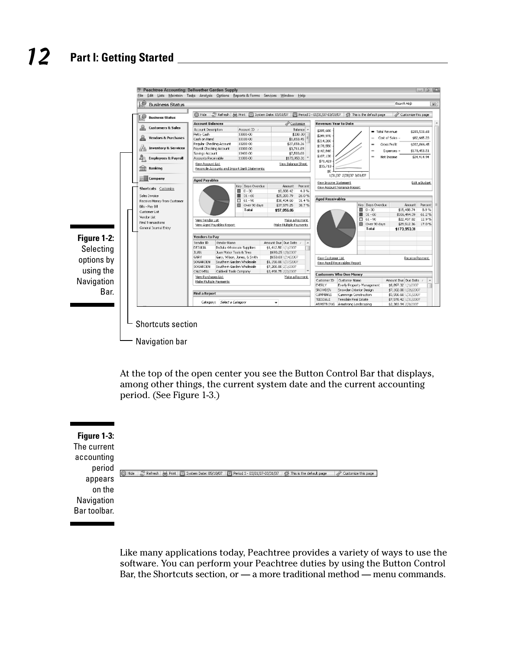#### 12 **Part I: Getting Started**



At the top of the open center you see the Button Control Bar that displays, among other things, the current system date and the current accounting period. (See Figure 1-3.)

#### **Figure 1-3:** The current accounting period

appears on the Navigation Bar toolbar.

3 Hde | 은 Refresh | 블 Print | ④ System Date: 05/10/07 | 그 Period 3 - 03/01/07-03/31/07 | 会 This is the default page | 승 Customize this page |

Like many applications today, Peachtree provides a variety of ways to use the software. You can perform your Peachtree duties by using the Button Control Bar, the Shortcuts section, or — a more traditional method — menu commands.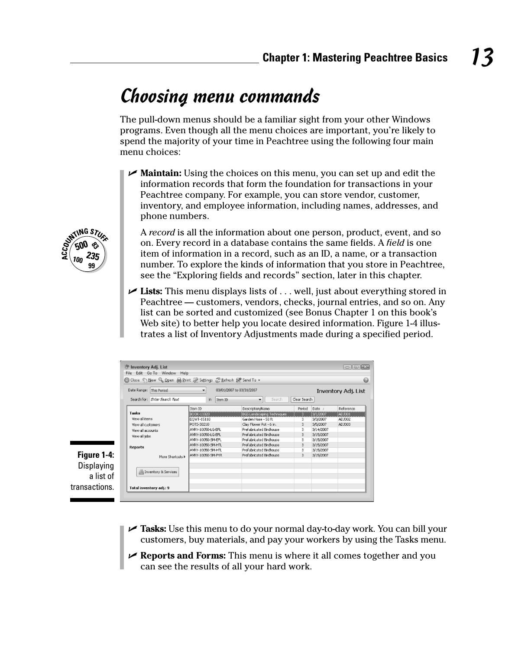### Choosing menu commands

The pull-down menus should be a familiar sight from your other Windows programs. Even though all the menu choices are important, you're likely to spend the majority of your time in Peachtree using the following four main menu choices:

- **Maintain:** Using the choices on this menu, you can set up and edit the information records that form the foundation for transactions in your Peachtree company. For example, you can store vendor, customer, inventory, and employee information, including names, addresses, and phone numbers.

A *record* is all the information about one person, product, event, and so on. Every record in a database contains the same fields. A *field* is one item of information in a record, such as an ID, a name, or a transaction number. To explore the kinds of information that you store in Peachtree, see the "Exploring fields and records" section, later in this chapter.

- **Lists:** This menu displays lists of . . . well, just about everything stored in Peachtree — customers, vendors, checks, journal entries, and so on. Any list can be sorted and customized (see Bonus Chapter 1 on this book's Web site) to better help you locate desired information. Figure 1-4 illustrates a list of Inventory Adjustments made during a specified period.

|               | Thiventory Adj. List<br>Edit Go To Window Help<br>File        |                   |                          |                            |              |                     |           |  |
|---------------|---------------------------------------------------------------|-------------------|--------------------------|----------------------------|--------------|---------------------|-----------|--|
|               | © Close 个 New Q Open A Print R Settings C Refresh R Send To ▼ |                   |                          |                            |              |                     | $\circ$   |  |
|               | Date Range: This Period                                       | ۰                 | 03/01/2007 to 03/31/2007 |                            |              | Inventory Adj. List |           |  |
|               | Search for: Enter Search Text                                 | in.               | Item ID                  | Search<br>۰                | Clear Search |                     |           |  |
|               |                                                               | Item ID           |                          | Description/Name           | Period       | Date                | Reference |  |
|               | Tasks                                                         | 000K-11020        |                          | DGS Landscaping Techniques |              | 3/1/2007            | AL J301   |  |
|               | Mew all thems.                                                | EOWT-15110        |                          | Garden Hose - 50 ft.       | 3            | 3/3/2007            | AD 1932   |  |
|               | Yiew all customers                                            | POTS-30210        |                          | Clay Flower Pot - 6 in.    | 3            | 3/5/2007            | AD3333    |  |
|               | View all accounts                                             | AVRY-10050-LG-EEL |                          | Prefabricated Birchouse.   | 3            | 3/14/2007           |           |  |
|               | View all jobs                                                 | AVRY-10050-LG-EFL |                          | Prefahricated Birthmase    | 3            | 3/15/2007           |           |  |
|               |                                                               | AVRY-10050-5M-EFL |                          | Prefabricated Birchouse    | 3            | 3/15/2007           |           |  |
|               | <b>Reports</b>                                                | AVRY-10050-SM-HTL |                          | Prefahricated Birthouse.   | 3            | 3/15/2007           |           |  |
|               |                                                               | AVRY-10050-SM-HTL |                          | Prefahricated Birchouse    | 3            | 3/15/2007           |           |  |
| Figure 1-4:   | More Shortcuts In                                             | AVRY-10050-SM-PYR |                          | Prefabricated Birchouse    | 3            | 3/15/2007           |           |  |
|               |                                                               |                   |                          |                            |              |                     |           |  |
| Displaying    |                                                               |                   |                          |                            |              |                     |           |  |
|               | <b>All Inventory B. Services</b>                              |                   |                          |                            |              |                     |           |  |
| a list of     |                                                               |                   |                          |                            |              |                     |           |  |
|               |                                                               |                   |                          |                            |              |                     |           |  |
| transactions. | Total inventory adj.: 9                                       |                   |                          |                            |              |                     |           |  |

- **Tasks:** Use this menu to do your normal day-to-day work. You can bill your customers, buy materials, and pay your workers by using the Tasks menu.
- **Reports and Forms:** This menu is where it all comes together and you can see the results of all your hard work.

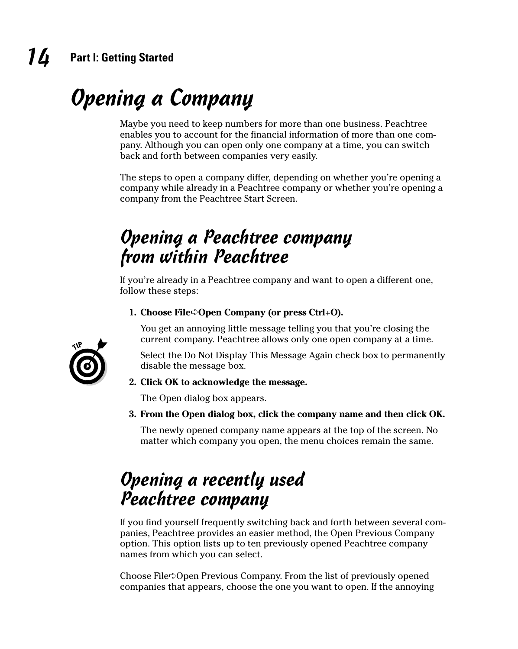## Opening a Company

Maybe you need to keep numbers for more than one business. Peachtree enables you to account for the financial information of more than one company. Although you can open only one company at a time, you can switch back and forth between companies very easily.

The steps to open a company differ, depending on whether you're opening a company while already in a Peachtree company or whether you're opening a company from the Peachtree Start Screen.

### Opening a Peachtree company from within Peachtree

If you're already in a Peachtree company and want to open a different one, follow these steps:

#### **1. Choose File**➪**Open Company (or press Ctrl+O).**

You get an annoying little message telling you that you're closing the current company. Peachtree allows only one open company at a time.

Select the Do Not Display This Message Again check box to permanently disable the message box.

#### **2. Click OK to acknowledge the message.**

The Open dialog box appears.

**3. From the Open dialog box, click the company name and then click OK.**

The newly opened company name appears at the top of the screen. No matter which company you open, the menu choices remain the same.

### Opening a recently used Peachtree company

If you find yourself frequently switching back and forth between several companies, Peachtree provides an easier method, the Open Previous Company option. This option lists up to ten previously opened Peachtree company names from which you can select.

Choose File➪Open Previous Company. From the list of previously opened companies that appears, choose the one you want to open. If the annoying

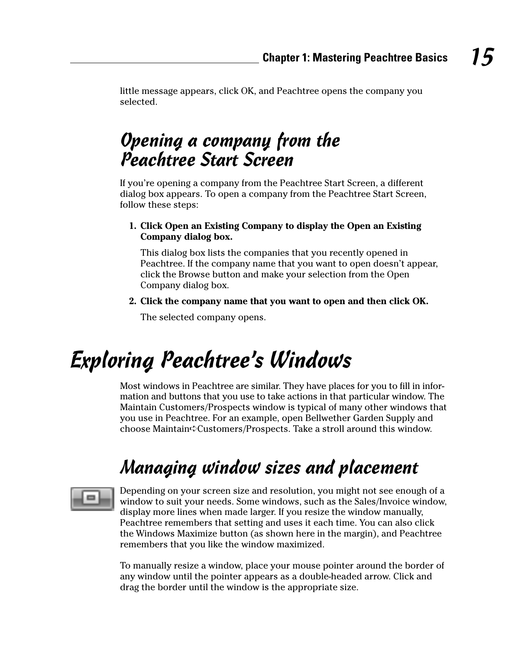little message appears, click OK, and Peachtree opens the company you selected.

### Opening a company from the Peachtree Start Screen

If you're opening a company from the Peachtree Start Screen, a different dialog box appears. To open a company from the Peachtree Start Screen, follow these steps:

#### **1. Click Open an Existing Company to display the Open an Existing Company dialog box.**

This dialog box lists the companies that you recently opened in Peachtree. If the company name that you want to open doesn't appear, click the Browse button and make your selection from the Open Company dialog box.

**2. Click the company name that you want to open and then click OK.**

The selected company opens.

## Exploring Peachtree's Windows

Most windows in Peachtree are similar. They have places for you to fill in information and buttons that you use to take actions in that particular window. The Maintain Customers/Prospects window is typical of many other windows that you use in Peachtree. For an example, open Bellwether Garden Supply and choose Maintain➪Customers/Prospects. Take a stroll around this window.

## Managing window sizes and placement



Depending on your screen size and resolution, you might not see enough of a window to suit your needs. Some windows, such as the Sales/Invoice window, display more lines when made larger. If you resize the window manually, Peachtree remembers that setting and uses it each time. You can also click the Windows Maximize button (as shown here in the margin), and Peachtree remembers that you like the window maximized.

To manually resize a window, place your mouse pointer around the border of any window until the pointer appears as a double-headed arrow. Click and drag the border until the window is the appropriate size.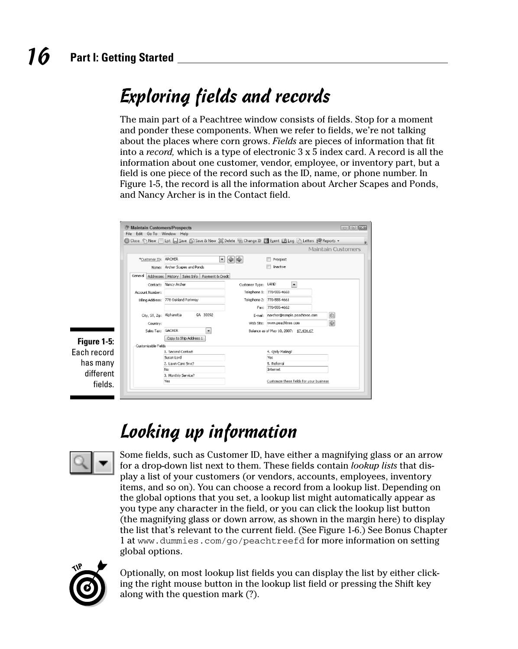## Exploring fields and records

The main part of a Peachtree window consists of fields. Stop for a moment and ponder these components. When we refer to fields, we're not talking about the places where corn grows. *Fields* are pieces of information that fit into a *record,* which is a type of electronic 3 x 5 index card. A record is all the information about one customer, vendor, employee, or inventory part, but a field is one piece of the record such as the ID, name, or phone number. In Figure 1-5, the record is all the information about Archer Scapes and Ponds, and Nancy Archer is in the Contact field.



## Looking up information



Some fields, such as Customer ID, have either a magnifying glass or an arrow for a drop-down list next to them. These fields contain *lookup lists* that display a list of your customers (or vendors, accounts, employees, inventory items, and so on). You can choose a record from a lookup list. Depending on the global options that you set, a lookup list might automatically appear as you type any character in the field, or you can click the lookup list button (the magnifying glass or down arrow, as shown in the margin here) to display the list that's relevant to the current field. (See Figure 1-6.) See Bonus Chapter 1 at www.dummies.com/go/peachtreefd for more information on setting global options.



Optionally, on most lookup list fields you can display the list by either clicking the right mouse button in the lookup list field or pressing the Shift key along with the question mark (?).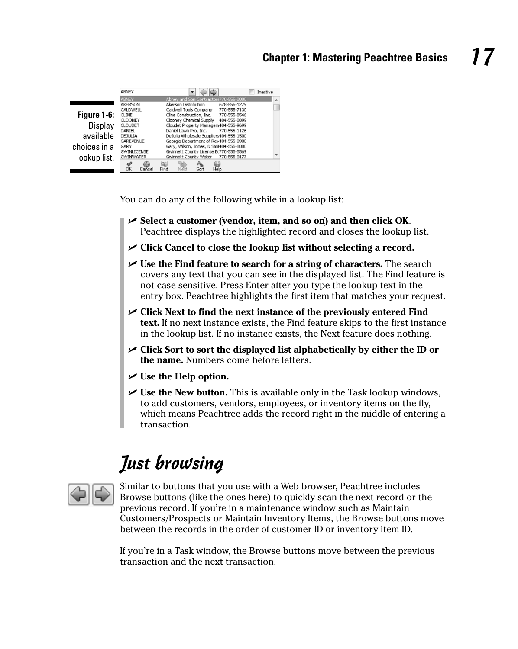|              | ABNEY             |       |                                        |                          |  |  |                                          | Inactive |  |
|--------------|-------------------|-------|----------------------------------------|--------------------------|--|--|------------------------------------------|----------|--|
|              | <b>ABNEY</b>      |       |                                        |                          |  |  | Abney and Son Contractor: 770-555-0000   |          |  |
|              | <b>AKERSON</b>    |       |                                        | Akerson Distribution     |  |  | 678-555-1279                             |          |  |
|              | CALDWELL          |       |                                        | Caldwell Tools Company   |  |  | 770-555-7130                             |          |  |
| Figure 1-6:  | <b>CLINE</b>      |       |                                        | Cline Construction, Inc. |  |  | 770-555-8546                             |          |  |
|              | CLOONEY           |       |                                        | Clooney Chemical Supply  |  |  | 404-555-0899                             |          |  |
| Display      | CLOUDET           |       |                                        |                          |  |  | Cloudet Property Managem 404-555-9699    |          |  |
|              | DANIEL            |       |                                        |                          |  |  | Daniel Lawn Pro, Inc. 770-555-1126       |          |  |
| available    | <b>DEJULIA</b>    |       |                                        |                          |  |  | DeJulia Wholesale Suppliers 404-555-1500 |          |  |
|              | <b>GAREVENLIE</b> |       | Georgia Department of Rev404-555-0900  |                          |  |  |                                          |          |  |
| choices in a | GARY              |       |                                        |                          |  |  | Gary, Wilson, Jones, & Smil404-555-8000  |          |  |
|              | GWINLICENSE       |       | Gwinnett County License B(770-555-5569 |                          |  |  |                                          |          |  |
| lookup list. | <b>GWINWATER</b>  |       |                                        |                          |  |  | Gwinnett County Water 770-555-0177       |          |  |
|              |                   |       | q.                                     |                          |  |  |                                          |          |  |
|              | ₫ĸ                | Cance | Find                                   |                          |  |  |                                          |          |  |
|              |                   |       |                                        |                          |  |  |                                          |          |  |

You can do any of the following while in a lookup list:

- **Select a customer (vendor, item, and so on) and then click OK**. Peachtree displays the highlighted record and closes the lookup list.
- **Click Cancel to close the lookup list without selecting a record.**
- **Use the Find feature to search for a string of characters.** The search covers any text that you can see in the displayed list. The Find feature is not case sensitive. Press Enter after you type the lookup text in the entry box. Peachtree highlights the first item that matches your request.
- **Click Next to find the next instance of the previously entered Find text.** If no next instance exists, the Find feature skips to the first instance in the lookup list. If no instance exists, the Next feature does nothing.
- **Click Sort to sort the displayed list alphabetically by either the ID or the name.** Numbers come before letters.
- **Use the Help option.**
- **Use the New button.** This is available only in the Task lookup windows, to add customers, vendors, employees, or inventory items on the fly, which means Peachtree adds the record right in the middle of entering a transaction.

### Just browsing



Similar to buttons that you use with a Web browser, Peachtree includes Browse buttons (like the ones here) to quickly scan the next record or the previous record. If you're in a maintenance window such as Maintain Customers/Prospects or Maintain Inventory Items, the Browse buttons move between the records in the order of customer ID or inventory item ID.

If you're in a Task window, the Browse buttons move between the previous transaction and the next transaction.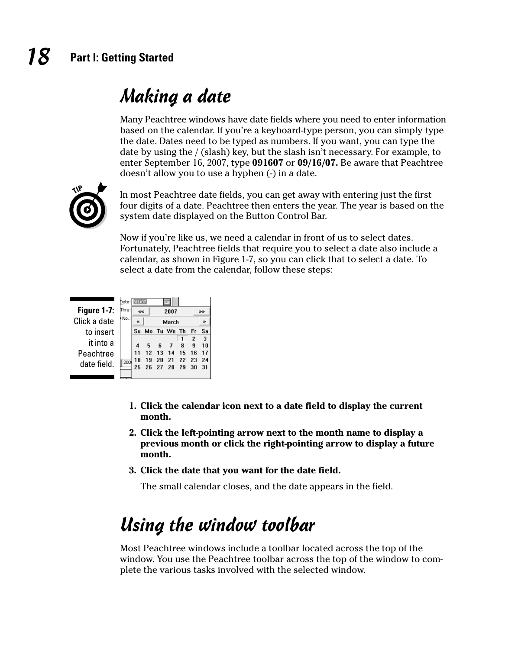## Making a date

 $\Box$ 

2007

March

Su Mo Tu We Th Fr Sa  $\vert$  1  $\overline{2}$  $\overline{3}$ 

> $\overline{7}$  $\mathbf{a}$  $\bf{q}$  $10$

11 12 13 14 15 16 17  $\frac{1}{200}$  18 19 20 21 22 23 24 25 26 27 28 29 30

30

 $31$ 

ate: 311/07 Thru

 $\ll \ll$ No.  $\alpha$ 

 $4\quad 5\quad 6$ 

Many Peachtree windows have date fields where you need to enter information based on the calendar. If you're a keyboard-type person, you can simply type the date. Dates need to be typed as numbers. If you want, you can type the date by using the / (slash) key, but the slash isn't necessary. For example, to enter September 16, 2007, type **091607** or **09/16/07.** Be aware that Peachtree doesn't allow you to use a hyphen (-) in a date.



In most Peachtree date fields, you can get away with entering just the first four digits of a date. Peachtree then enters the year. The year is based on the system date displayed on the Button Control Bar.

Now if you're like us, we need a calendar in front of us to select dates. Fortunately, Peachtree fields that require you to select a date also include a calendar, as shown in Figure 1-7, so you can click that to select a date. To select a date from the calendar, follow these steps:

| Figure 1-7:  |
|--------------|
| Click a date |
| to insert    |
| it into a    |
| Peachtree    |
| date field.  |

- **1. Click the calendar icon next to a date field to display the current month.**
- **2. Click the left-pointing arrow next to the month name to display a previous month or click the right-pointing arrow to display a future month.**
- **3. Click the date that you want for the date field.**

The small calendar closes, and the date appears in the field.

## Using the window toolbar

Most Peachtree windows include a toolbar located across the top of the window. You use the Peachtree toolbar across the top of the window to complete the various tasks involved with the selected window.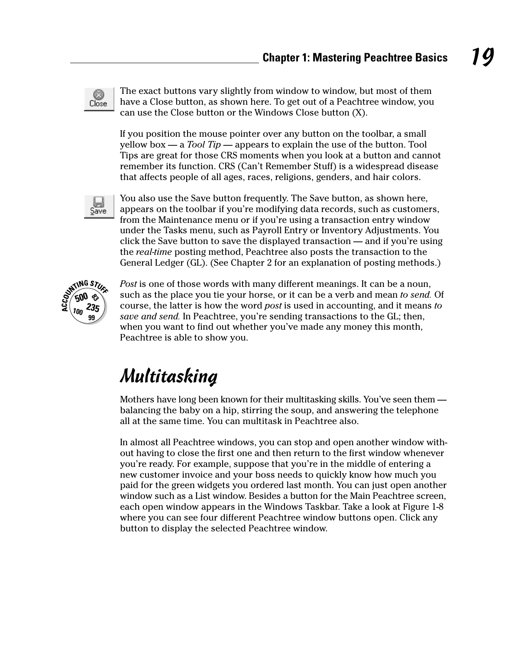The exact buttons vary slightly from window to window, but most of them have a Close button, as shown here. To get out of a Peachtree window, you can use the Close button or the Windows Close button (X).

If you position the mouse pointer over any button on the toolbar, a small yellow box — a *Tool Tip* — appears to explain the use of the button. Tool Tips are great for those CRS moments when you look at a button and cannot remember its function. CRS (Can't Remember Stuff) is a widespread disease that affects people of all ages, races, religions, genders, and hair colors.



 $\frac{\textcircled{\tiny{\textcirc}}}{\text{Close}}$ 

You also use the Save button frequently. The Save button, as shown here, appears on the toolbar if you're modifying data records, such as customers, from the Maintenance menu or if you're using a transaction entry window under the Tasks menu, such as Payroll Entry or Inventory Adjustments. You click the Save button to save the displayed transaction — and if you're using the *real-time* posting method, Peachtree also posts the transaction to the General Ledger (GL). (See Chapter 2 for an explanation of posting methods.)



*Post* is one of those words with many different meanings. It can be a noun, such as the place you tie your horse, or it can be a verb and mean *to send.* Of course, the latter is how the word *post* is used in accounting, and it means *to save and send.* In Peachtree, you're sending transactions to the GL; then, when you want to find out whether you've made any money this month, Peachtree is able to show you.

## Multitasking

Mothers have long been known for their multitasking skills. You've seen them balancing the baby on a hip, stirring the soup, and answering the telephone all at the same time. You can multitask in Peachtree also.

In almost all Peachtree windows, you can stop and open another window without having to close the first one and then return to the first window whenever you're ready. For example, suppose that you're in the middle of entering a new customer invoice and your boss needs to quickly know how much you paid for the green widgets you ordered last month. You can just open another window such as a List window. Besides a button for the Main Peachtree screen, each open window appears in the Windows Taskbar. Take a look at Figure 1-8 where you can see four different Peachtree window buttons open. Click any button to display the selected Peachtree window.